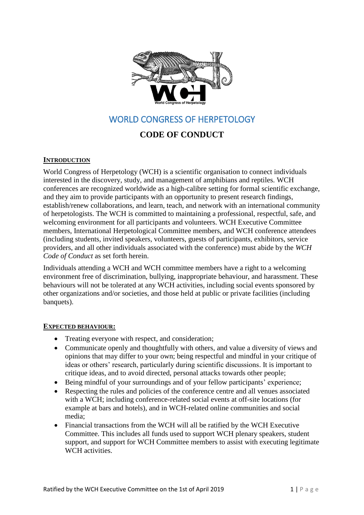

# WORLD CONGRESS OF HERPETOLOGY

# **CODE OF CONDUCT**

## **INTRODUCTION**

World Congress of Herpetology (WCH) is a scientific organisation to connect individuals interested in the discovery, study, and management of amphibians and reptiles. WCH conferences are recognized worldwide as a high-calibre setting for formal scientific exchange, and they aim to provide participants with an opportunity to present research findings, establish/renew collaborations, and learn, teach, and network with an international community of herpetologists. The WCH is committed to maintaining a professional, respectful, safe, and welcoming environment for all participants and volunteers. WCH Executive Committee members, International Herpetological Committee members, and WCH conference attendees (including students, invited speakers, volunteers, guests of participants, exhibitors, service providers, and all other individuals associated with the conference) must abide by the *WCH Code of Conduct* as set forth herein.

Individuals attending a WCH and WCH committee members have a right to a welcoming environment free of discrimination, bullying, inappropriate behaviour, and harassment. These behaviours will not be tolerated at any WCH activities, including social events sponsored by other organizations and/or societies, and those held at public or private facilities (including banquets).

#### **EXPECTED BEHAVIOUR:**

- Treating everyone with respect, and consideration;
- Communicate openly and thoughtfully with others, and value a diversity of views and opinions that may differ to your own; being respectful and mindful in your critique of ideas or others' research, particularly during scientific discussions. It is important to critique ideas, and to avoid directed, personal attacks towards other people;
- Being mindful of your surroundings and of your fellow participants' experience;
- Respecting the rules and policies of the conference centre and all venues associated with a WCH; including conference-related social events at off-site locations (for example at bars and hotels), and in WCH-related online communities and social media;
- Financial transactions from the WCH will all be ratified by the WCH Executive Committee. This includes all funds used to support WCH plenary speakers, student support, and support for WCH Committee members to assist with executing legitimate WCH activities.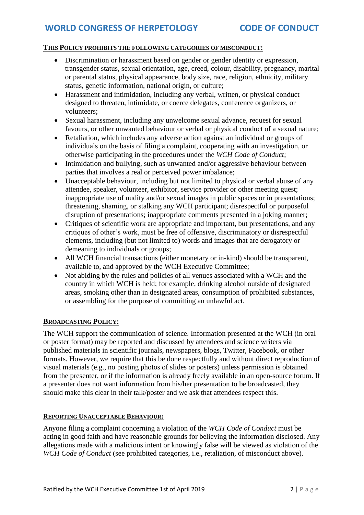## **THIS POLICY PROHIBITS THE FOLLOWING CATEGORIES OF MISCONDUCT:**

- Discrimination or harassment based on gender or gender identity or expression, transgender status, sexual orientation, age, creed, colour, disability, pregnancy, marital or parental status, physical appearance, body size, race, religion, ethnicity, military status, genetic information, national origin, or culture;
- Harassment and intimidation, including any verbal, written, or physical conduct designed to threaten, intimidate, or coerce delegates, conference organizers, or volunteers;
- Sexual harassment, including any unwelcome sexual advance, request for sexual favours, or other unwanted behaviour or verbal or physical conduct of a sexual nature;
- Retaliation, which includes any adverse action against an individual or groups of individuals on the basis of filing a complaint, cooperating with an investigation, or otherwise participating in the procedures under the *WCH Code of Conduct*;
- Intimidation and bullying, such as unwanted and/or aggressive behaviour between parties that involves a real or perceived power imbalance;
- Unacceptable behaviour, including but not limited to physical or verbal abuse of any attendee, speaker, volunteer, exhibitor, service provider or other meeting guest; inappropriate use of nudity and/or sexual images in public spaces or in presentations; threatening, shaming, or stalking any WCH participant; disrespectful or purposeful disruption of presentations; inappropriate comments presented in a joking manner;
- Critiques of scientific work are appropriate and important, but presentations, and any critiques of other's work, must be free of offensive, discriminatory or disrespectful elements, including (but not limited to) words and images that are derogatory or demeaning to individuals or groups;
- All WCH financial transactions (either monetary or in-kind) should be transparent, available to, and approved by the WCH Executive Committee;
- Not abiding by the rules and policies of all venues associated with a WCH and the country in which WCH is held; for example, drinking alcohol outside of designated areas, smoking other than in designated areas, consumption of prohibited substances, or assembling for the purpose of committing an unlawful act.

#### **BROADCASTING POLICY:**

The WCH support the communication of science. Information presented at the WCH (in oral or poster format) may be reported and discussed by attendees and science writers via published materials in scientific journals, newspapers, blogs, Twitter, Facebook, or other formats. However, we require that this be done respectfully and without direct reproduction of visual materials (e.g., no posting photos of slides or posters) unless permission is obtained from the presenter, or if the information is already freely available in an open-source forum. If a presenter does not want information from his/her presentation to be broadcasted, they should make this clear in their talk/poster and we ask that attendees respect this.

#### **REPORTING UNACCEPTABLE BEHAVIOUR:**

Anyone filing a complaint concerning a violation of the *WCH Code of Conduct* must be acting in good faith and have reasonable grounds for believing the information disclosed. Any allegations made with a malicious intent or knowingly false will be viewed as violation of the *WCH Code of Conduct* (see prohibited categories, i.e., retaliation, of misconduct above).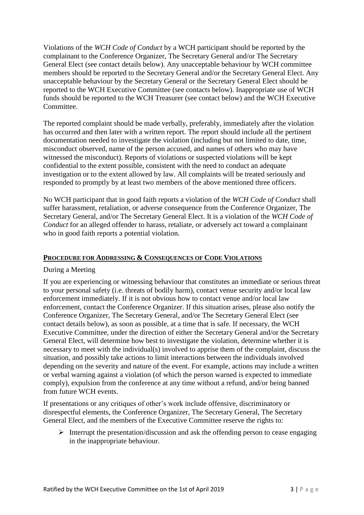Violations of the *WCH Code of Conduct* by a WCH participant should be reported by the complainant to the Conference Organizer, The Secretary General and/or The Secretary General Elect (see contact details below). Any unacceptable behaviour by WCH committee members should be reported to the Secretary General and/or the Secretary General Elect. Any unacceptable behaviour by the Secretary General or the Secretary General Elect should be reported to the WCH Executive Committee (see contacts below). Inappropriate use of WCH funds should be reported to the WCH Treasurer (see contact below) and the WCH Executive Committee.

The reported complaint should be made verbally, preferably, immediately after the violation has occurred and then later with a written report. The report should include all the pertinent documentation needed to investigate the violation (including but not limited to date, time, misconduct observed, name of the person accused, and names of others who may have witnessed the misconduct). Reports of violations or suspected violations will be kept confidential to the extent possible, consistent with the need to conduct an adequate investigation or to the extent allowed by law. All complaints will be treated seriously and responded to promptly by at least two members of the above mentioned three officers.

No WCH participant that in good faith reports a violation of the *WCH Code of Conduct* shall suffer harassment, retaliation, or adverse consequence from the Conference Organizer, The Secretary General, and/or The Secretary General Elect. It is a violation of the *WCH Code of Conduct* for an alleged offender to harass, retaliate, or adversely act toward a complainant who in good faith reports a potential violation.

### **PROCEDURE FOR ADDRESSING & CONSEQUENCES OF CODE VIOLATIONS**

#### During a Meeting

If you are experiencing or witnessing behaviour that constitutes an immediate or serious threat to your personal safety (i.e. threats of bodily harm), contact venue security and/or local law enforcement immediately. If it is not obvious how to contact venue and/or local law enforcement, contact the Conference Organizer. If this situation arises, please also notify the Conference Organizer, The Secretary General, and/or The Secretary General Elect (see contact details below), as soon as possible, at a time that is safe. If necessary, the WCH Executive Committee, under the direction of either the Secretary General and/or the Secretary General Elect, will determine how best to investigate the violation, determine whether it is necessary to meet with the individual(s) involved to apprise them of the complaint, discuss the situation, and possibly take actions to limit interactions between the individuals involved depending on the severity and nature of the event. For example, actions may include a written or verbal warning against a violation (of which the person warned is expected to immediate comply), expulsion from the conference at any time without a refund, and/or being banned from future WCH events.

If presentations or any critiques of other's work include offensive, discriminatory or disrespectful elements, the Conference Organizer, The Secretary General, The Secretary General Elect, and the members of the Executive Committee reserve the rights to:

 $\triangleright$  Interrupt the presentation/discussion and ask the offending person to cease engaging in the inappropriate behaviour.